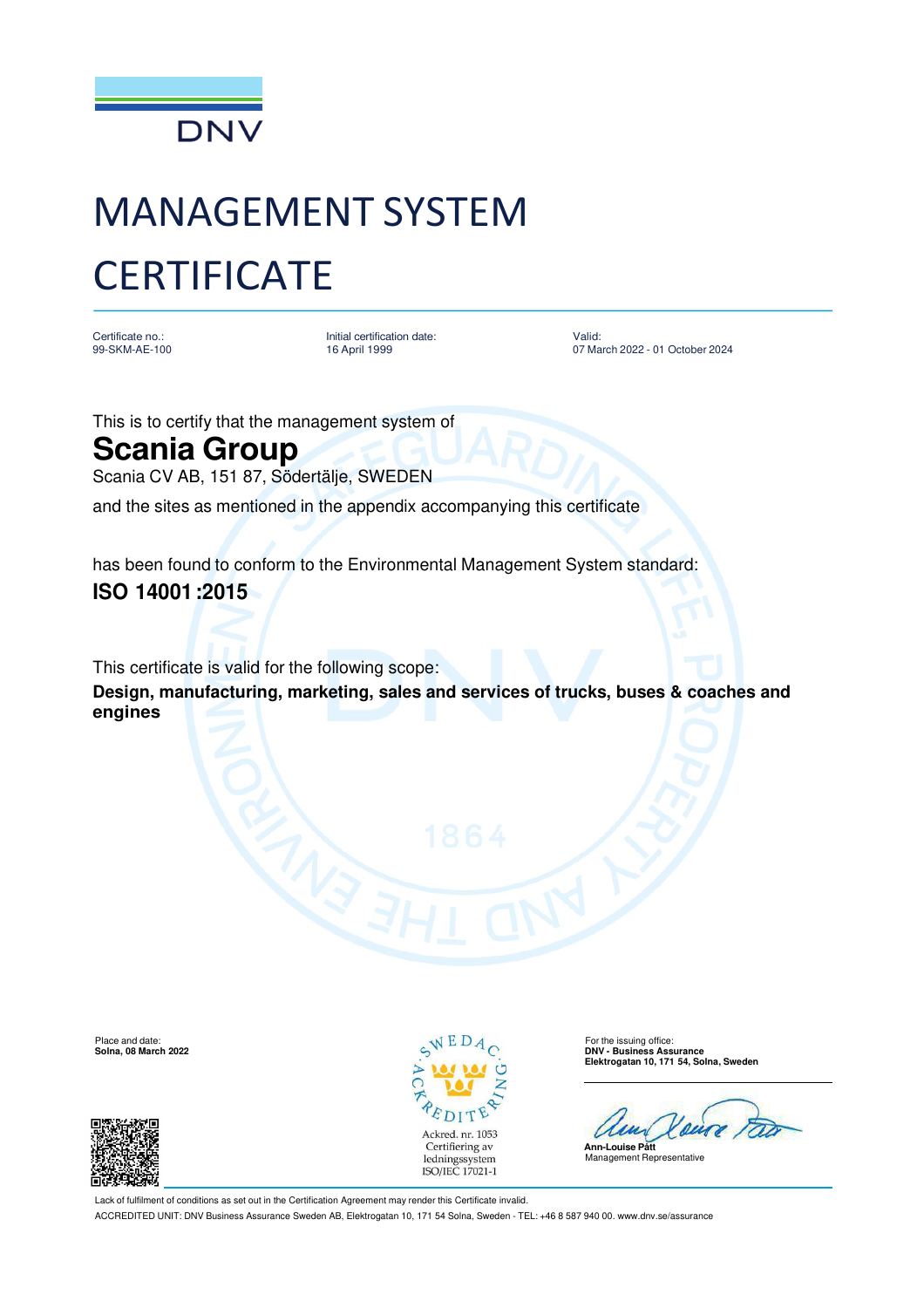

# MANAGEMENT SYSTEM **CERTIFICATE**

Certificate no.: 99-SKM-AE-100 Initial certification date: 16 April 1999

Valid: 07 March 2022 - 01 October 2024

This is to certify that the management system of

## **Scania Group**

Scania CV AB, 151 87, Södertälje, SWEDEN

and the sites as mentioned in the appendix accompanying this certificate

has been found to conform to the Environmental Management System standard:

### **ISO 14001 :2015**

This certificate is valid for the following scope:

**Design, manufacturing, marketing, sales and services of trucks, buses & coaches and engines**





**Solna, 08 March 2022 DNV - Business Assurance Elektrogatan 10, 171 54, Solna, Sweden**



Lack of fulfilment of conditions as set out in the Certification Agreement may render this Certificate invalid.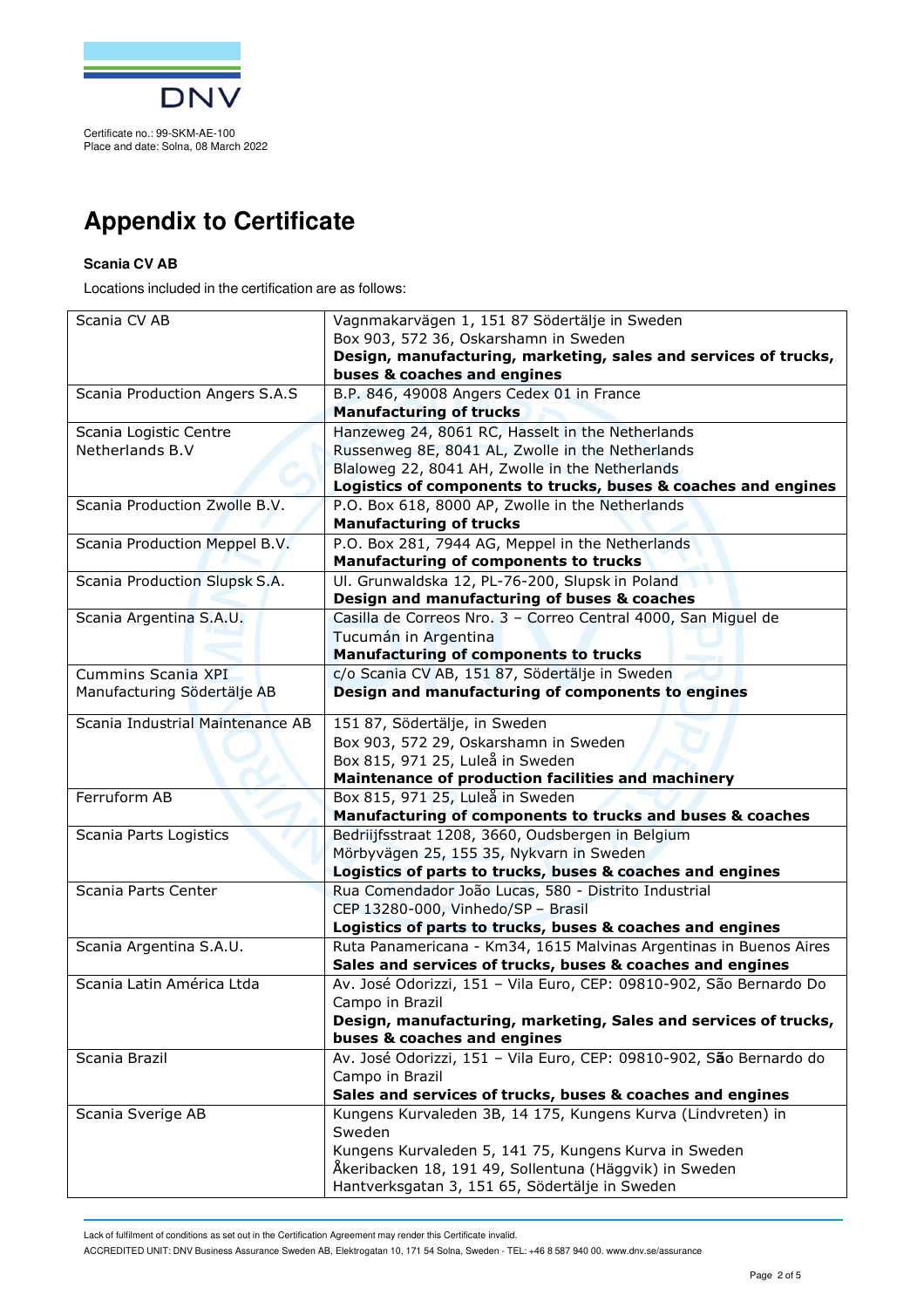

## **Appendix to Certificate**

#### **Scania CV AB**

Locations included in the certification are as follows:

| Scania CV AB                     | Vagnmakarvägen 1, 151 87 Södertälje in Sweden                                      |
|----------------------------------|------------------------------------------------------------------------------------|
|                                  | Box 903, 572 36, Oskarshamn in Sweden                                              |
|                                  | Design, manufacturing, marketing, sales and services of trucks,                    |
|                                  | buses & coaches and engines                                                        |
| Scania Production Angers S.A.S   | B.P. 846, 49008 Angers Cedex 01 in France                                          |
|                                  | <b>Manufacturing of trucks</b>                                                     |
| Scania Logistic Centre           | Hanzeweg 24, 8061 RC, Hasselt in the Netherlands                                   |
| Netherlands B.V                  | Russenweg 8E, 8041 AL, Zwolle in the Netherlands                                   |
|                                  | Blaloweg 22, 8041 AH, Zwolle in the Netherlands                                    |
|                                  | Logistics of components to trucks, buses & coaches and engines                     |
| Scania Production Zwolle B.V.    | P.O. Box 618, 8000 AP, Zwolle in the Netherlands                                   |
|                                  | <b>Manufacturing of trucks</b>                                                     |
| Scania Production Meppel B.V.    | P.O. Box 281, 7944 AG, Meppel in the Netherlands                                   |
|                                  | Manufacturing of components to trucks                                              |
| Scania Production Slupsk S.A.    | Ul. Grunwaldska 12, PL-76-200, Slupsk in Poland                                    |
|                                  | Design and manufacturing of buses & coaches                                        |
| Scania Argentina S.A.U.          | Casilla de Correos Nro. 3 - Correo Central 4000, San Miguel de                     |
|                                  | Tucumán in Argentina                                                               |
|                                  | <b>Manufacturing of components to trucks</b>                                       |
| Cummins Scania XPI               | c/o Scania CV AB, 151 87, Södertälje in Sweden                                     |
| Manufacturing Södertälje AB      | Design and manufacturing of components to engines                                  |
| Scania Industrial Maintenance AB | 151 87, Södertälje, in Sweden                                                      |
|                                  | Box 903, 572 29, Oskarshamn in Sweden                                              |
|                                  | Box 815, 971 25, Luleå in Sweden                                                   |
|                                  | Maintenance of production facilities and machinery                                 |
| Ferruform AB                     | Box 815, 971 25, Luleå in Sweden                                                   |
|                                  | Manufacturing of components to trucks and buses & coaches                          |
| Scania Parts Logistics           | Bedriijfsstraat 1208, 3660, Oudsbergen in Belgium                                  |
|                                  | Mörbyvägen 25, 155 35, Nykvarn in Sweden                                           |
|                                  | Logistics of parts to trucks, buses & coaches and engines                          |
| Scania Parts Center              | Rua Comendador João Lucas, 580 - Distrito Industrial                               |
|                                  | CEP 13280-000, Vinhedo/SP - Brasil                                                 |
|                                  | Logistics of parts to trucks, buses & coaches and engines                          |
| Scania Argentina S.A.U.          | Ruta Panamericana - Km34, 1615 Malvinas Argentinas in Buenos Aires                 |
| Scania Latin América Ltda        | Sales and services of trucks, buses & coaches and engines                          |
|                                  | Av. José Odorizzi, 151 - Vila Euro, CEP: 09810-902, São Bernardo Do                |
|                                  | Campo in Brazil<br>Design, manufacturing, marketing, Sales and services of trucks, |
|                                  | buses & coaches and engines                                                        |
| Scania Brazil                    | Av. José Odorizzi, 151 - Vila Euro, CEP: 09810-902, São Bernardo do                |
|                                  | Campo in Brazil                                                                    |
|                                  | Sales and services of trucks, buses & coaches and engines                          |
| Scania Sverige AB                | Kungens Kurvaleden 3B, 14 175, Kungens Kurva (Lindvreten) in                       |
|                                  | Sweden                                                                             |
|                                  | Kungens Kurvaleden 5, 141 75, Kungens Kurva in Sweden                              |
|                                  | Åkeribacken 18, 191 49, Sollentuna (Häggvik) in Sweden                             |
|                                  | Hantverksgatan 3, 151 65, Södertälje in Sweden                                     |

Lack of fulfilment of conditions as set out in the Certification Agreement may render this Certificate invalid.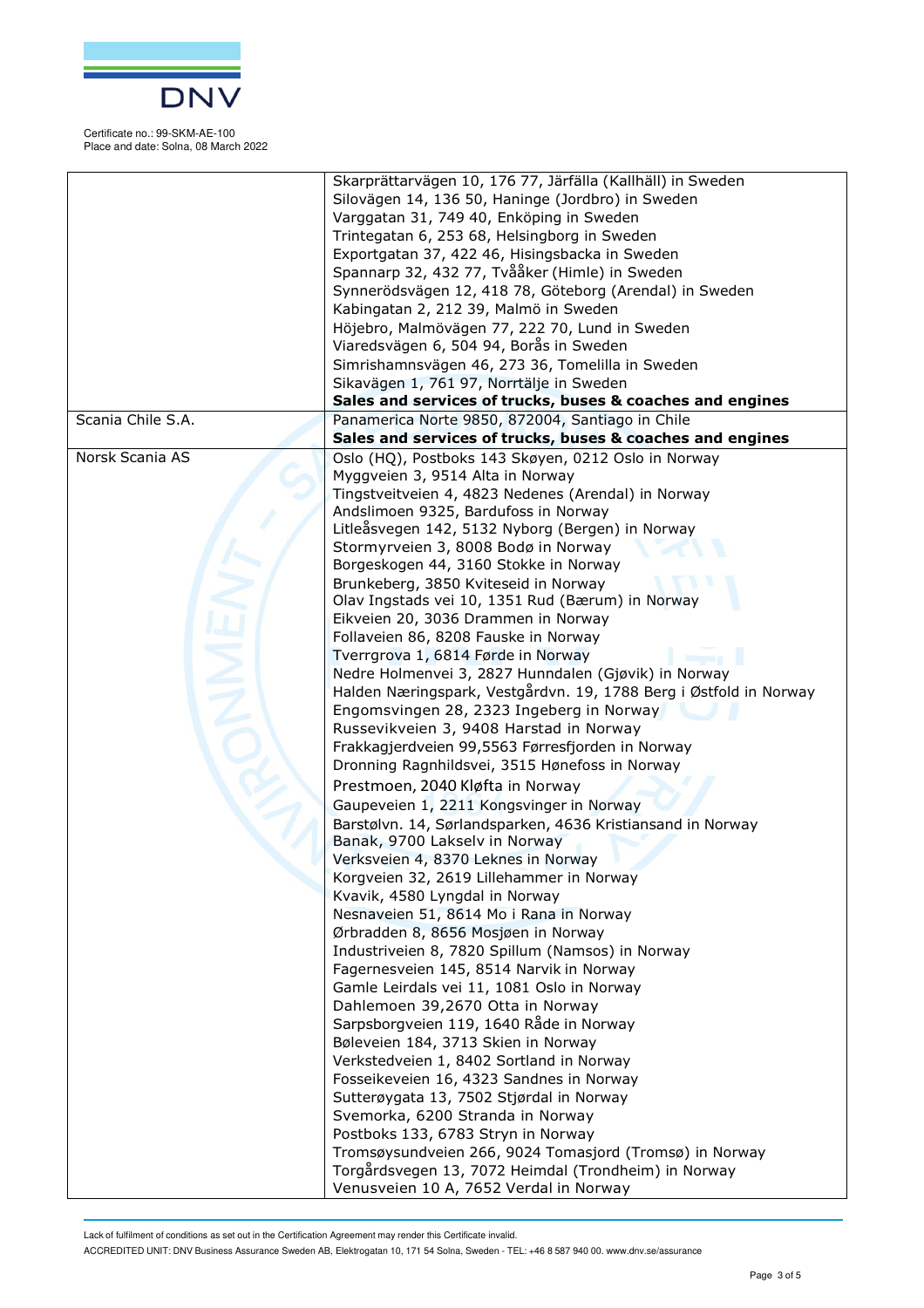

Certificate no.: 99-SKM-AE-100 Place and date: Solna, 08 March 2022

|                   | Skarprättarvägen 10, 176 77, Järfälla (Kallhäll) in Sweden        |
|-------------------|-------------------------------------------------------------------|
|                   | Silovägen 14, 136 50, Haninge (Jordbro) in Sweden                 |
|                   | Varggatan 31, 749 40, Enköping in Sweden                          |
|                   | Trintegatan 6, 253 68, Helsingborg in Sweden                      |
|                   | Exportgatan 37, 422 46, Hisingsbacka in Sweden                    |
|                   | Spannarp 32, 432 77, Tvååker (Himle) in Sweden                    |
|                   | Synnerödsvägen 12, 418 78, Göteborg (Arendal) in Sweden           |
|                   |                                                                   |
|                   | Kabingatan 2, 212 39, Malmö in Sweden                             |
|                   | Höjebro, Malmövägen 77, 222 70, Lund in Sweden                    |
|                   | Viaredsvägen 6, 504 94, Borås in Sweden                           |
|                   | Simrishamnsvägen 46, 273 36, Tomelilla in Sweden                  |
|                   | Sikavägen 1, 761 97, Norrtälje in Sweden                          |
|                   | Sales and services of trucks, buses & coaches and engines         |
| Scania Chile S.A. | Panamerica Norte 9850, 872004, Santiago in Chile                  |
|                   | Sales and services of trucks, buses & coaches and engines         |
| Norsk Scania AS   | Oslo (HQ), Postboks 143 Skøyen, 0212 Oslo in Norway               |
|                   | Myggveien 3, 9514 Alta in Norway                                  |
|                   | Tingstveitveien 4, 4823 Nedenes (Arendal) in Norway               |
|                   | Andslimoen 9325, Bardufoss in Norway                              |
|                   | Litleåsvegen 142, 5132 Nyborg (Bergen) in Norway                  |
|                   | Stormyrveien 3, 8008 Bodø in Norway                               |
|                   | Borgeskogen 44, 3160 Stokke in Norway                             |
|                   |                                                                   |
|                   | Brunkeberg, 3850 Kviteseid in Norway                              |
|                   | Olav Ingstads vei 10, 1351 Rud (Bærum) in Norway                  |
|                   | Eikveien 20, 3036 Drammen in Norway                               |
|                   | Follaveien 86, 8208 Fauske in Norway                              |
|                   | Tverrgrova 1, 6814 Førde in Norway                                |
|                   | Nedre Holmenvei 3, 2827 Hunndalen (Gjøvik) in Norway              |
|                   | Halden Næringspark, Vestgårdvn. 19, 1788 Berg i Østfold in Norway |
|                   | Engomsvingen 28, 2323 Ingeberg in Norway                          |
|                   | Russevikveien 3, 9408 Harstad in Norway                           |
|                   | Frakkagjerdveien 99,5563 Førresfjorden in Norway                  |
|                   | Dronning Ragnhildsvei, 3515 Hønefoss in Norway                    |
|                   | Prestmoen, 2040 Kløfta in Norway                                  |
|                   |                                                                   |
|                   | Gaupeveien 1, 2211 Kongsvinger in Norway                          |
|                   | Barstølvn. 14, Sørlandsparken, 4636 Kristiansand in Norway        |
|                   | Banak, 9700 Lakselv in Norway                                     |
|                   | Verksveien 4, 8370 Leknes in Norway                               |
|                   | Korgveien 32, 2619 Lillehammer in Norway                          |
|                   | Kvavik, 4580 Lyngdal in Norway                                    |
|                   | Nesnaveien 51, 8614 Mo i Rana in Norway                           |
|                   | Ørbradden 8, 8656 Mosjøen in Norway                               |
|                   | Industriveien 8, 7820 Spillum (Namsos) in Norway                  |
|                   | Fagernesveien 145, 8514 Narvik in Norway                          |
|                   | Gamle Leirdals vei 11, 1081 Oslo in Norway                        |
|                   | Dahlemoen 39,2670 Otta in Norway                                  |
|                   | Sarpsborgveien 119, 1640 Råde in Norway                           |
|                   | Bøleveien 184, 3713 Skien in Norway                               |
|                   | Verkstedveien 1, 8402 Sortland in Norway                          |
|                   |                                                                   |
|                   | Fosseikeveien 16, 4323 Sandnes in Norway                          |
|                   | Sutterøygata 13, 7502 Stjørdal in Norway                          |
|                   | Svemorka, 6200 Stranda in Norway                                  |
|                   | Postboks 133, 6783 Stryn in Norway                                |
|                   | Tromsøysundveien 266, 9024 Tomasjord (Tromsø) in Norway           |
|                   | Torgårdsvegen 13, 7072 Heimdal (Trondheim) in Norway              |
|                   | Venusveien 10 A, 7652 Verdal in Norway                            |

Lack of fulfilment of conditions as set out in the Certification Agreement may render this Certificate invalid.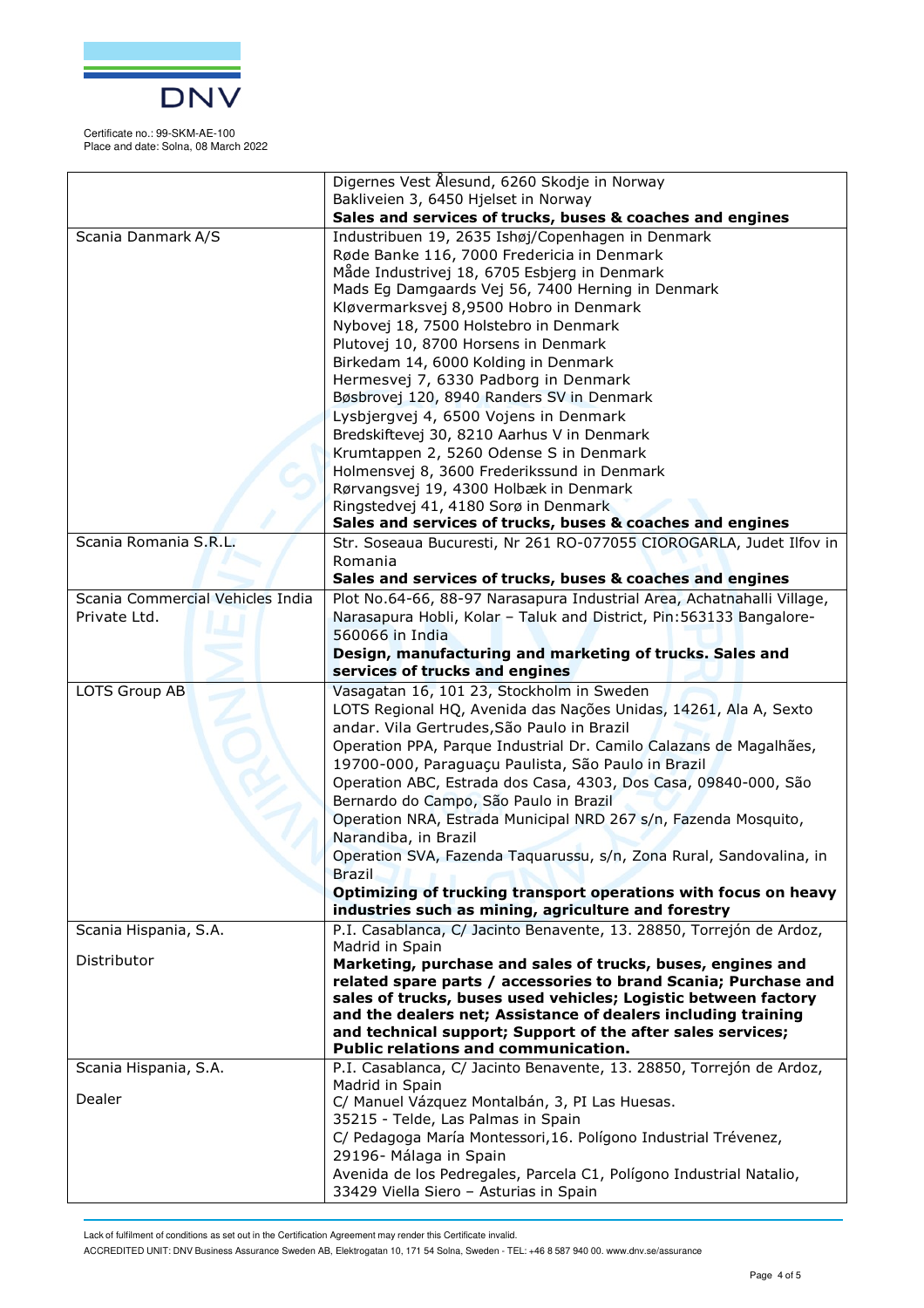

Certificate no.: 99-SKM-AE-100 Place and date: Solna, 08 March 2022

|                                                  | Digernes Vest Ålesund, 6260 Skodje in Norway<br>Bakliveien 3, 6450 Hjelset in Norway                                                                                                                                                                                                                                                                                           |
|--------------------------------------------------|--------------------------------------------------------------------------------------------------------------------------------------------------------------------------------------------------------------------------------------------------------------------------------------------------------------------------------------------------------------------------------|
|                                                  | Sales and services of trucks, buses & coaches and engines                                                                                                                                                                                                                                                                                                                      |
| Scania Danmark A/S                               | Industribuen 19, 2635 Ishøj/Copenhagen in Denmark<br>Røde Banke 116, 7000 Fredericia in Denmark<br>Måde Industrivej 18, 6705 Esbjerg in Denmark<br>Mads Eg Damgaards Vej 56, 7400 Herning in Denmark<br>Kløvermarksvej 8,9500 Hobro in Denmark<br>Nybovej 18, 7500 Holstebro in Denmark                                                                                        |
|                                                  | Plutovej 10, 8700 Horsens in Denmark<br>Birkedam 14, 6000 Kolding in Denmark<br>Hermesvej 7, 6330 Padborg in Denmark<br>Bøsbrovej 120, 8940 Randers SV in Denmark                                                                                                                                                                                                              |
|                                                  | Lysbjergvej 4, 6500 Vojens in Denmark<br>Bredskiftevej 30, 8210 Aarhus V in Denmark<br>Krumtappen 2, 5260 Odense S in Denmark                                                                                                                                                                                                                                                  |
|                                                  | Holmensvej 8, 3600 Frederikssund in Denmark<br>Rørvangsvej 19, 4300 Holbæk in Denmark<br>Ringstedvej 41, 4180 Sorø in Denmark                                                                                                                                                                                                                                                  |
|                                                  | Sales and services of trucks, buses & coaches and engines                                                                                                                                                                                                                                                                                                                      |
| Scania Romania S.R.L.                            | Str. Soseaua Bucuresti, Nr 261 RO-077055 CIOROGARLA, Judet Ilfov in<br>Romania<br>Sales and services of trucks, buses & coaches and engines                                                                                                                                                                                                                                    |
| Scania Commercial Vehicles India<br>Private Ltd. | Plot No.64-66, 88-97 Narasapura Industrial Area, Achatnahalli Village,<br>Narasapura Hobli, Kolar - Taluk and District, Pin: 563133 Bangalore-<br>560066 in India<br>Design, manufacturing and marketing of trucks. Sales and                                                                                                                                                  |
|                                                  | services of trucks and engines                                                                                                                                                                                                                                                                                                                                                 |
| LOTS Group AB                                    | Vasagatan 16, 101 23, Stockholm in Sweden                                                                                                                                                                                                                                                                                                                                      |
|                                                  | LOTS Regional HQ, Avenida das Nações Unidas, 14261, Ala A, Sexto<br>andar. Vila Gertrudes, São Paulo in Brazil                                                                                                                                                                                                                                                                 |
|                                                  | Operation PPA, Parque Industrial Dr. Camilo Calazans de Magalhães,<br>19700-000, Paraguaçu Paulista, São Paulo in Brazil<br>Operation ABC, Estrada dos Casa, 4303, Dos Casa, 09840-000, São                                                                                                                                                                                    |
|                                                  | Bernardo do Campo, São Paulo in Brazil<br>Operation NRA, Estrada Municipal NRD 267 s/n, Fazenda Mosquito,<br>Narandiba, in Brazil                                                                                                                                                                                                                                              |
|                                                  | Operation SVA, Fazenda Taquarussu, s/n, Zona Rural, Sandovalina, in<br><b>Brazil</b>                                                                                                                                                                                                                                                                                           |
|                                                  | Optimizing of trucking transport operations with focus on heavy<br>industries such as mining, agriculture and forestry                                                                                                                                                                                                                                                         |
| Scania Hispania, S.A.                            | P.I. Casablanca, C/ Jacinto Benavente, 13. 28850, Torrejón de Ardoz,<br>Madrid in Spain                                                                                                                                                                                                                                                                                        |
| Distributor                                      | Marketing, purchase and sales of trucks, buses, engines and<br>related spare parts / accessories to brand Scania; Purchase and<br>sales of trucks, buses used vehicles; Logistic between factory<br>and the dealers net; Assistance of dealers including training<br>and technical support; Support of the after sales services;<br><b>Public relations and communication.</b> |
| Scania Hispania, S.A.                            | P.I. Casablanca, C/ Jacinto Benavente, 13. 28850, Torrejón de Ardoz,                                                                                                                                                                                                                                                                                                           |
| Dealer                                           | Madrid in Spain<br>C/ Manuel Vázquez Montalbán, 3, PI Las Huesas.                                                                                                                                                                                                                                                                                                              |
|                                                  | 35215 - Telde, Las Palmas in Spain<br>C/ Pedagoga María Montessori, 16. Polígono Industrial Trévenez,                                                                                                                                                                                                                                                                          |
|                                                  | 29196- Málaga in Spain<br>Avenida de los Pedregales, Parcela C1, Polígono Industrial Natalio,<br>33429 Viella Siero - Asturias in Spain                                                                                                                                                                                                                                        |

Lack of fulfilment of conditions as set out in the Certification Agreement may render this Certificate invalid.